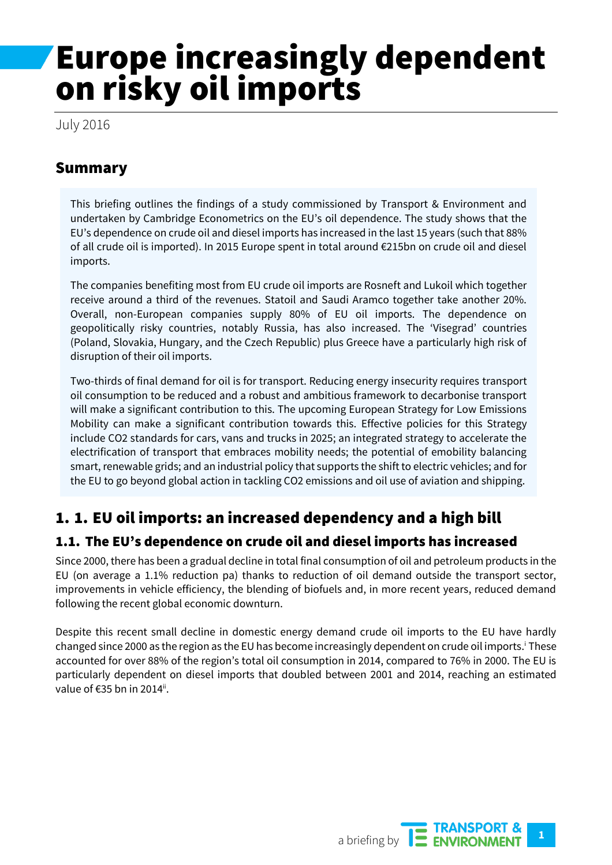# Europe increasingly dependent on risky oil imports

July 2016

## Summary

This briefing outlines the findings of a study commissioned by Transport & Environment and undertaken by Cambridge Econometrics on the EU's oil dependence. The study shows that the EU's dependence on crude oil and diesel imports has increased in the last 15 years (such that 88% of all crude oil is imported). In 2015 Europe spent in total around €215bn on crude oil and diesel imports.

The companies benefiting most from EU crude oil imports are Rosneft and Lukoil which together receive around a third of the revenues. Statoil and Saudi Aramco together take another 20%. Overall, non-European companies supply 80% of EU oil imports. The dependence on geopolitically risky countries, notably Russia, has also increased. The 'Visegrad' countries (Poland, Slovakia, Hungary, and the Czech Republic) plus Greece have a particularly high risk of disruption of their oil imports.

Two-thirds of final demand for oil is for transport. Reducing energy insecurity requires transport oil consumption to be reduced and a robust and ambitious framework to decarbonise transport will make a significant contribution to this. The upcoming European Strategy for Low Emissions Mobility can make a significant contribution towards this. Effective policies for this Strategy include CO2 standards for cars, vans and trucks in 2025; an integrated strategy to accelerate the electrification of transport that embraces mobility needs; the potential of emobility balancing smart, renewable grids; and an industrial policy that supports the shift to electric vehicles; and for the EU to go beyond global action in tackling CO2 emissions and oil use of aviation and shipping.

# 1. 1. EU oil imports: an increased dependency and a high bill

#### 1.1. The EU's dependence on crude oil and diesel imports has increased

Since 2000, there has been a gradual decline in total final consumption of oil and petroleum products in the EU (on average a 1.1% reduction pa) thanks to reduction of oil demand outside the transport sector, improvements in vehicle efficiency, the blending of biofuels and, in more recent years, reduced demand following the recent global economic downturn.

Despite this recent small decline in domestic energy demand crude oil imports to the EU have hardly changed since 2000 as the region as the EU has become increasingly dependent on crude oil imports.<sup>i</sup> These accounted for over 88% of the region's total oil consumption in 2014, compared to 76% in 2000. The EU is particularly dependent on diesel imports that doubled between 2001 and 2014, reaching an estimated value of €35 bn in 2014".

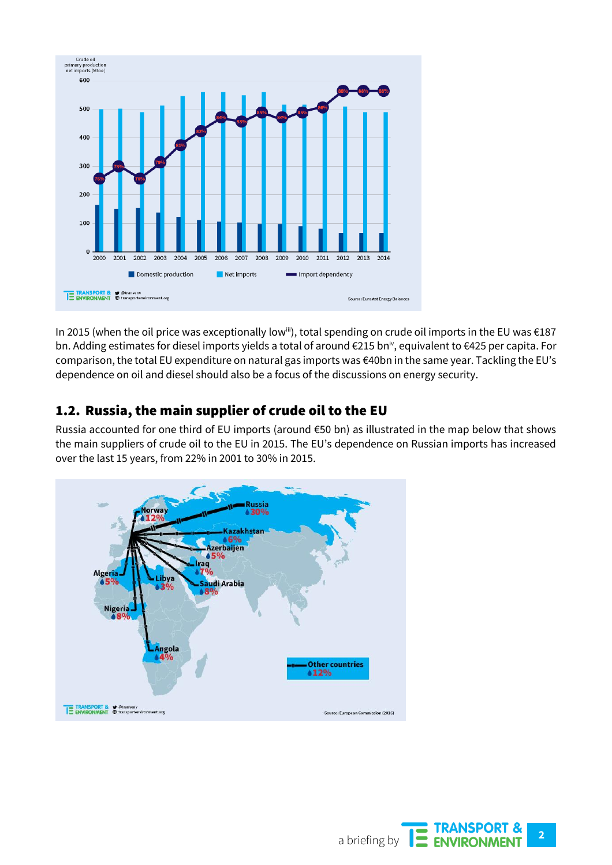

In 2015 (when the oil price was exceptionally low<sup>iii</sup>), total spending on crude oil imports in the EU was €187 bn. Adding estimates for diesel imports yields a total of around €215 bniv, equivalent to €425 per capita. For comparison, the total EU expenditure on natural gas imports was €40bn in the same year. Tackling the EU's dependence on oil and diesel should also be a focus of the discussions on energy security.

#### 1.2. Russia, the main supplier of crude oil to the EU

Russia accounted for one third of EU imports (around €50 bn) as illustrated in the map below that shows the main suppliers of crude oil to the EU in 2015. The EU's dependence on Russian imports has increased over the last 15 years, from 22% in 2001 to 30% in 2015.



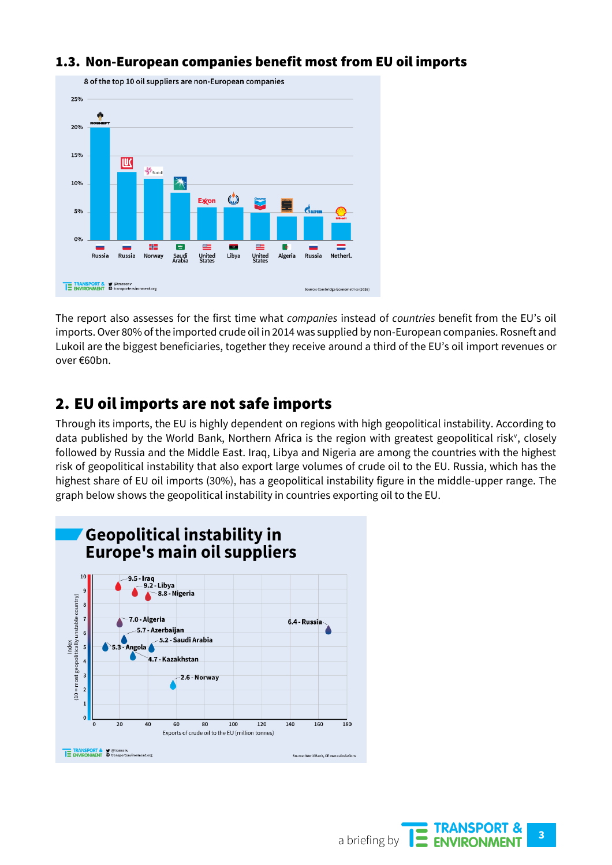

#### 1.3. Non-European companies benefit most from EU oil imports

The report also assesses for the first time what *companies* instead of *countries* benefit from the EU's oil imports. Over 80% of the imported crude oil in 2014 was supplied by non-European companies. Rosneft and Lukoil are the biggest beneficiaries, together they receive around a third of the EU's oil import revenues or over €60bn.

#### 2. EU oil imports are not safe imports

Through its imports, the EU is highly dependent on regions with high geopolitical instability. According to data published by the World Bank, Northern Africa is the region with greatest geopolitical risk<sup>v</sup>, closely followed by Russia and the Middle East. Iraq, Libya and Nigeria are among the countries with the highest risk of geopolitical instability that also export large volumes of crude oil to the EU. Russia, which has the highest share of EU oil imports (30%), has a geopolitical instability figure in the middle-upper range. The graph below shows the geopolitical instability in countries exporting oil to the EU.

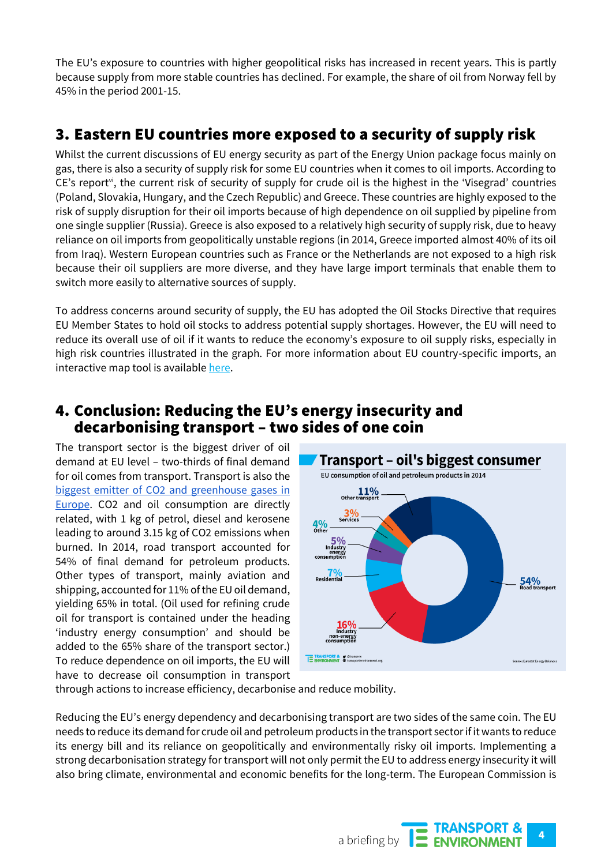The EU's exposure to countries with higher geopolitical risks has increased in recent years. This is partly because supply from more stable countries has declined. For example, the share of oil from Norway fell by 45% in the period 2001-15.

## 3. Eastern EU countries more exposed to a security of supply risk

Whilst the current discussions of EU energy security as part of the Energy Union package focus mainly on gas, there is also a security of supply risk for some EU countries when it comes to oil imports. According to CE's report<sup>vi</sup>, the current risk of security of supply for crude oil is the highest in the 'Visegrad' countries (Poland, Slovakia, Hungary, and the Czech Republic) and Greece. These countries are highly exposed to the risk of supply disruption for their oil imports because of high dependence on oil supplied by pipeline from one single supplier (Russia). Greece is also exposed to a relatively high security of supply risk, due to heavy reliance on oil imports from geopolitically unstable regions (in 2014, Greece imported almost 40% of its oil from Iraq). Western European countries such as France or the Netherlands are not exposed to a high risk because their oil suppliers are more diverse, and they have large import terminals that enable them to switch more easily to alternative sources of supply.

To address concerns around security of supply, the EU has adopted the Oil Stocks Directive that requires EU Member States to hold oil stocks to address potential supply shortages. However, the EU will need to reduce its overall use of oil if it wants to reduce the economy's exposure to oil supply risks, especially in high risk countries illustrated in the graph. For more information about EU country-specific imports, an interactive map tool is available [here.](http://www.camecon.com/tools/eu-oil-dependency-tool/)

#### 4. Conclusion: Reducing the EU's energy insecurity and decarbonising transport – two sides of one coin

The transport sector is the biggest driver of oil demand at EU level – two-thirds of final demand for oil comes from transport. Transport is also the [biggest emitter of CO2 and greenhouse gases in](http://transenv.eu/28Ljlm5)  [Europe.](http://transenv.eu/28Ljlm5) CO2 and oil consumption are directly related, with 1 kg of petrol, diesel and kerosene leading to around 3.15 kg of CO2 emissions when burned. In 2014, road transport accounted for 54% of final demand for petroleum products. Other types of transport, mainly aviation and shipping, accounted for 11% of the EU oil demand, yielding 65% in total. (Oil used for refining crude oil for transport is contained under the heading 'industry energy consumption' and should be added to the 65% share of the transport sector.) To reduce dependence on oil imports, the EU will have to decrease oil consumption in transport



through actions to increase efficiency, decarbonise and reduce mobility.

Reducing the EU's energy dependency and decarbonising transport are two sides of the same coin. The EU needs to reduce its demand for crude oil and petroleum products in the transport sector if it wants to reduce its energy bill and its reliance on geopolitically and environmentally risky oil imports. Implementing a strong decarbonisation strategy for transport will not only permit the EU to address energy insecurity it will also bring climate, environmental and economic benefits for the long-term. The European Commission is